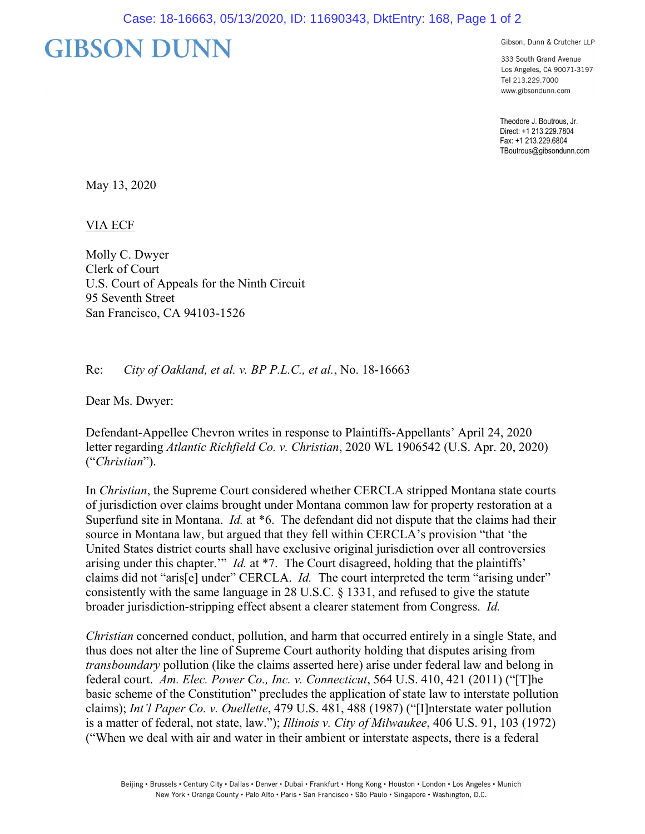## **GIBSON DUNN**

Gibson, Dunn & Crutcher LLP

333 South Grand Avenue Los Angeles, CA 90071-3197 Tel 213.229.7000 www.gibsondunn.com

Theodore J. Boutrous, Jr. Direct: +1 213.229.7804 Fax: +1 213.229.6804 TBoutrous@gibsondunn.com

May 13, 2020

VIA ECF

Molly C. Dwyer Clerk of Court U.S. Court of Appeals for the Ninth Circuit 95 Seventh Street San Francisco, CA 94103-1526

Re: *City of Oakland, et al. v. BP P.L.C., et al.*, No. 18-16663

Dear Ms. Dwyer:

Defendant-Appellee Chevron writes in response to Plaintiffs-Appellants' April 24, 2020 letter regarding *Atlantic Richfield Co. v. Christian*, 2020 WL 1906542 (U.S. Apr. 20, 2020) ("*Christian*").

In *Christian*, the Supreme Court considered whether CERCLA stripped Montana state courts of jurisdiction over claims brought under Montana common law for property restoration at a Superfund site in Montana. *Id.* at \*6. The defendant did not dispute that the claims had their source in Montana law, but argued that they fell within CERCLA's provision "that 'the United States district courts shall have exclusive original jurisdiction over all controversies arising under this chapter.'" *Id.* at \*7. The Court disagreed, holding that the plaintiffs' claims did not "aris[e] under" CERCLA. *Id.* The court interpreted the term "arising under" consistently with the same language in 28 U.S.C. § 1331, and refused to give the statute broader jurisdiction-stripping effect absent a clearer statement from Congress. *Id.*

*Christian* concerned conduct, pollution, and harm that occurred entirely in a single State, and thus does not alter the line of Supreme Court authority holding that disputes arising from *transboundary* pollution (like the claims asserted here) arise under federal law and belong in federal court. *Am. Elec. Power Co., Inc. v. Connecticut*, 564 U.S. 410, 421 (2011) ("[T]he basic scheme of the Constitution" precludes the application of state law to interstate pollution claims); *Int'l Paper Co. v. Ouellette*, 479 U.S. 481, 488 (1987) ("[I]nterstate water pollution is a matter of federal, not state, law."); *Illinois v. City of Milwaukee*, 406 U.S. 91, 103 (1972) ("When we deal with air and water in their ambient or interstate aspects, there is a federal